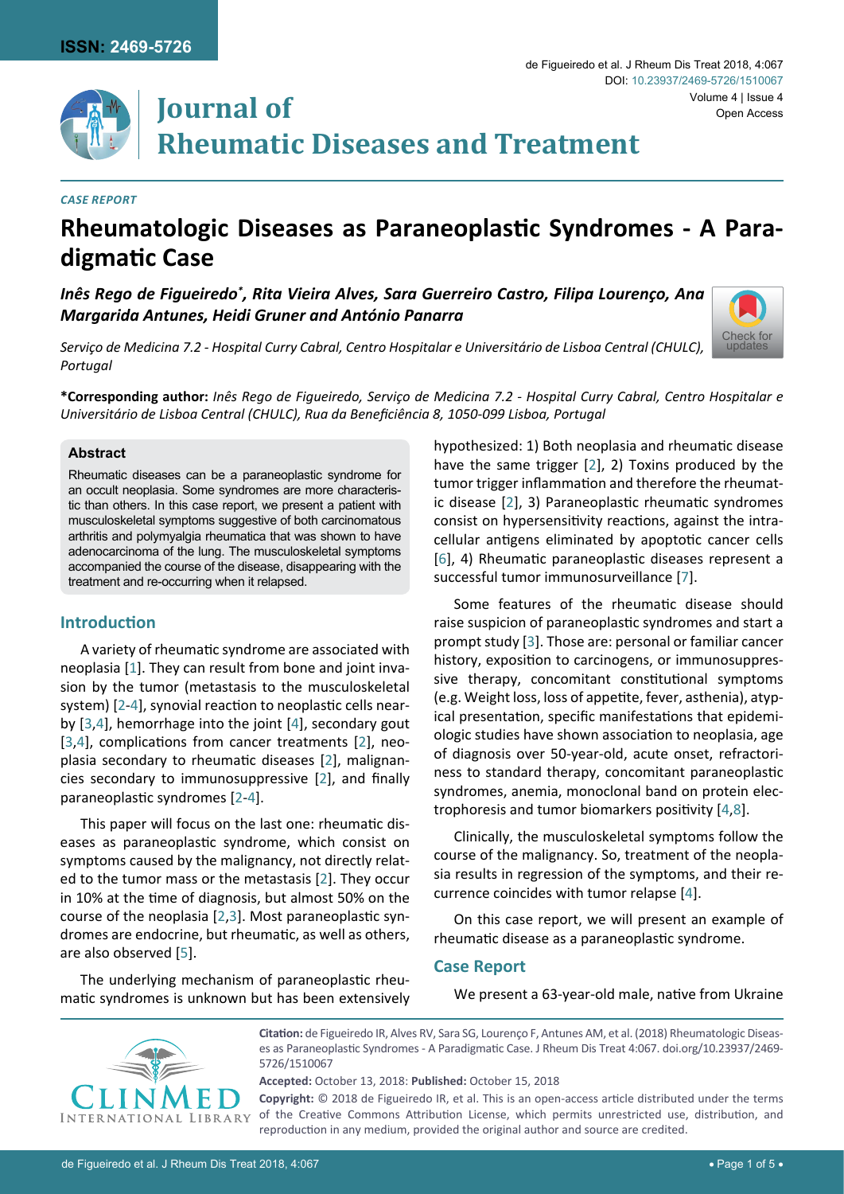[Check for](http://crossmark.crossref.org/dialog/?doi=10.23937/2469-5726/1510067&domain=pdf) updates



# **Journal of Rheumatic Diseases and Treatment**

#### *Case report*

# **Rheumatologic Diseases as Paraneoplastic Syndromes - A Paradigmatic Case**

Inês Rego de Figueiredo $^\ast$ , Rita Vieira Alves, Sara Guerreiro Castro, Filipa Lourenço, Ana *Margarida Antunes, Heidi Gruner and António Panarra*

*Serviço de Medicina 7.2 - Hospital Curry Cabral, Centro Hospitalar e Universitário de Lisboa Central (CHULC), Portugal*



#### **Abstract**

Rheumatic diseases can be a paraneoplastic syndrome for an occult neoplasia. Some syndromes are more characteristic than others. In this case report, we present a patient with musculoskeletal symptoms suggestive of both carcinomatous arthritis and polymyalgia rheumatica that was shown to have adenocarcinoma of the lung. The musculoskeletal symptoms accompanied the course of the disease, disappearing with the treatment and re-occurring when it relapsed.

#### **Introduction**

A variety of rheumatic syndrome are associated with neoplasia [\[1](#page-4-6)]. They can result from bone and joint invasion by the tumor (metastasis to the musculoskeletal system) [[2-](#page-4-0)[4\]](#page-4-4), synovial reaction to neoplastic cells nearby [\[3](#page-4-3),[4](#page-4-4)], hemorrhage into the joint [\[4](#page-4-4)], secondary gout [[3](#page-4-3),[4\]](#page-4-4), complications from cancer treatments [[2\]](#page-4-0), neoplasia secondary to rheumatic diseases [[2\]](#page-4-0), malignancies secondary to immunosuppressive [[2](#page-4-0)], and finally paraneoplastic syndromes [[2](#page-4-0)-[4](#page-4-4)].

This paper will focus on the last one: rheumatic diseases as paraneoplastic syndrome, which consist on symptoms caused by the malignancy, not directly related to the tumor mass or the metastasis [[2](#page-4-0)]. They occur in 10% at the time of diagnosis, but almost 50% on the course of the neoplasia [\[2](#page-4-0),[3](#page-4-3)]. Most paraneoplastic syndromes are endocrine, but rheumatic, as well as others, are also observed [\[5\]](#page-4-7).

The underlying mechanism of paraneoplastic rheumatic syndromes is unknown but has been extensively hypothesized: 1) Both neoplasia and rheumatic disease have the same trigger [\[2](#page-4-0)], 2) Toxins produced by the tumor trigger inflammation and therefore the rheumatic disease [\[2](#page-4-0)], 3) Paraneoplastic rheumatic syndromes consist on hypersensitivity reactions, against the intracellular antigens eliminated by apoptotic cancer cells [[6](#page-4-1)], 4) Rheumatic paraneoplastic diseases represent a successful tumor immunosurveillance [[7](#page-4-2)].

Some features of the rheumatic disease should raise suspicion of paraneoplastic syndromes and start a prompt study [[3\]](#page-4-3). Those are: personal or familiar cancer history, exposition to carcinogens, or immunosuppressive therapy, concomitant constitutional symptoms (e.g. Weight loss, loss of appetite, fever, asthenia), atypical presentation, specific manifestations that epidemiologic studies have shown association to neoplasia, age of diagnosis over 50-year-old, acute onset, refractoriness to standard therapy, concomitant paraneoplastic syndromes, anemia, monoclonal band on protein electrophoresis and tumor biomarkers positivity [\[4](#page-4-4)[,8\]](#page-4-5).

Clinically, the musculoskeletal symptoms follow the course of the malignancy. So, treatment of the neoplasia results in regression of the symptoms, and their recurrence coincides with tumor relapse [\[4](#page-4-4)].

On this case report, we will present an example of rheumatic disease as a paraneoplastic syndrome.

#### **Case Report**

We present a 63-year-old male, native from Ukraine



**Citation:** de Figueiredo IR, Alves RV, Sara SG, Lourenço F, Antunes AM, et al. (2018) Rheumatologic Diseases as Paraneoplastic Syndromes - A Paradigmatic Case. J Rheum Dis Treat 4:067. [doi.org/10.23937/2469-](https://doi.org/10.23937/2469-5726/1510067) [5726/1510067](https://doi.org/10.23937/2469-5726/1510067)

**Accepted:** October 13, 2018: **Published:** October 15, 2018

**Copyright:** © 2018 de Figueiredo IR, et al. This is an open-access article distributed under the terms of the Creative Commons Attribution License, which permits unrestricted use, distribution, and reproduction in any medium, provided the original author and source are credited.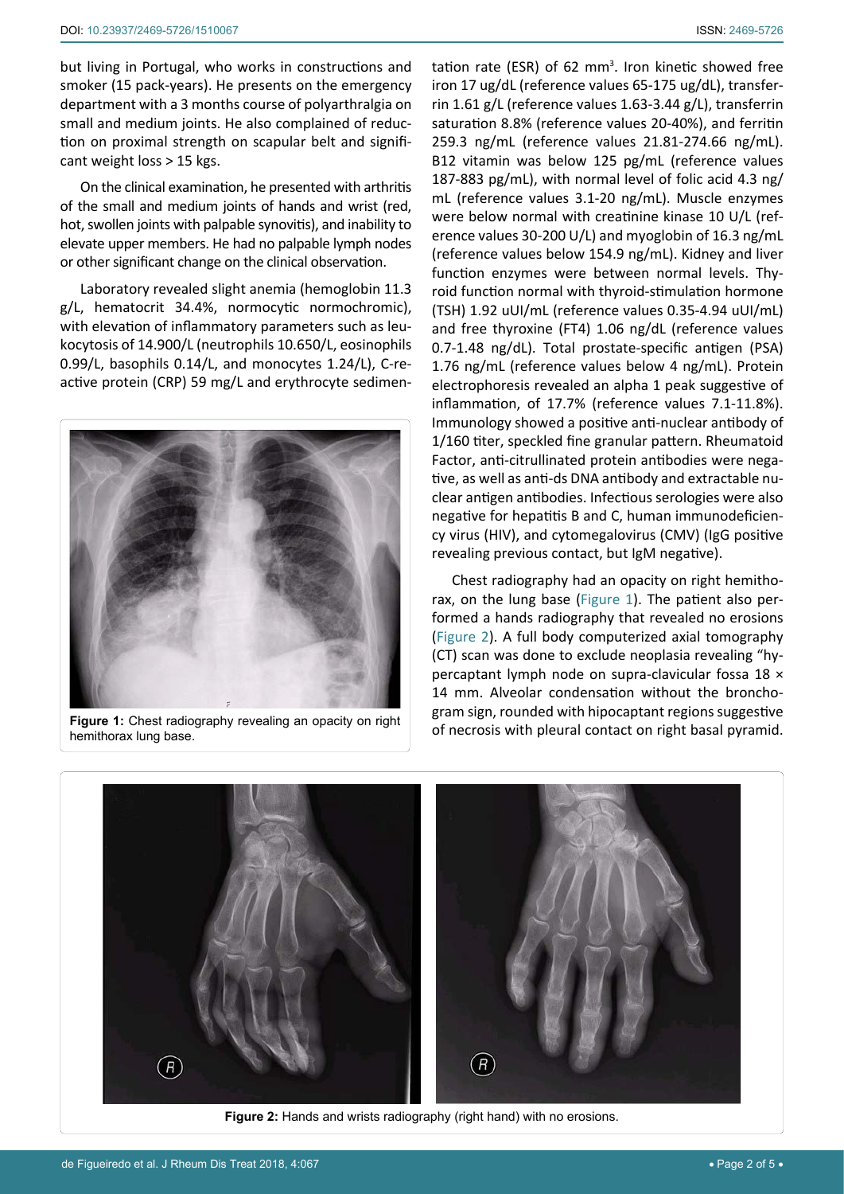but living in Portugal, who works in constructions and smoker (15 pack-years). He presents on the emergency department with a 3 months course of polyarthralgia on small and medium joints. He also complained of reduction on proximal strength on scapular belt and significant weight loss > 15 kgs.

On the clinical examination, he presented with arthritis of the small and medium joints of hands and wrist (red, hot, swollen joints with palpable synovitis), and inability to elevate upper members. He had no palpable lymph nodes or other significant change on the clinical observation.

Laboratory revealed slight anemia (hemoglobin 11.3 g/L, hematocrit 34.4%, normocytic normochromic), with elevation of inflammatory parameters such as leukocytosis of 14.900/L (neutrophils 10.650/L, eosinophils 0.99/L, basophils 0.14/L, and monocytes 1.24/L), C-reactive protein (CRP) 59 mg/L and erythrocyte sedimen-

<span id="page-1-0"></span>

**Figure 1:** Chest radiography revealing an opacity on right hemithorax lung base.

<span id="page-1-1"></span>Ĩ

tation rate (ESR) of 62  $mm<sup>3</sup>$ . Iron kinetic showed free iron 17 ug/dL (reference values 65-175 ug/dL), transferrin 1.61 g/L (reference values 1.63-3.44 g/L), transferrin saturation 8.8% (reference values 20-40%), and ferritin 259.3 ng/mL (reference values 21.81-274.66 ng/mL). B12 vitamin was below 125 pg/mL (reference values 187-883 pg/mL), with normal level of folic acid 4.3 ng/ mL (reference values 3.1-20 ng/mL). Muscle enzymes were below normal with creatinine kinase 10 U/L (reference values 30-200 U/L) and myoglobin of 16.3 ng/mL (reference values below 154.9 ng/mL). Kidney and liver function enzymes were between normal levels. Thyroid function normal with thyroid-stimulation hormone (TSH) 1.92 uUI/mL (reference values 0.35-4.94 uUI/mL) and free thyroxine (FT4) 1.06 ng/dL (reference values 0.7-1.48 ng/dL). Total prostate-specific antigen (PSA) 1.76 ng/mL (reference values below 4 ng/mL). Protein electrophoresis revealed an alpha 1 peak suggestive of inflammation, of 17.7% (reference values 7.1-11.8%). Immunology showed a positive anti-nuclear antibody of 1/160 titer, speckled fine granular pattern. Rheumatoid Factor, anti-citrullinated protein antibodies were negative, as well as anti-ds DNA antibody and extractable nuclear antigen antibodies. Infectious serologies were also negative for hepatitis B and C, human immunodeficiency virus (HIV), and cytomegalovirus (CMV) (IgG positive revealing previous contact, but IgM negative).

Chest radiography had an opacity on right hemithorax, on the lung base ([Figure 1](#page-1-0)). The patient also performed a hands radiography that revealed no erosions [\(Figure 2](#page-1-1)). A full body computerized axial tomography (CT) scan was done to exclude neoplasia revealing "hypercaptant lymph node on supra-clavicular fossa 18 × 14 mm. Alveolar condensation without the bronchogram sign, rounded with hipocaptant regions suggestive of necrosis with pleural contact on right basal pyramid.



**Figure 2:** Hands and wrists radiography (right hand) with no erosions.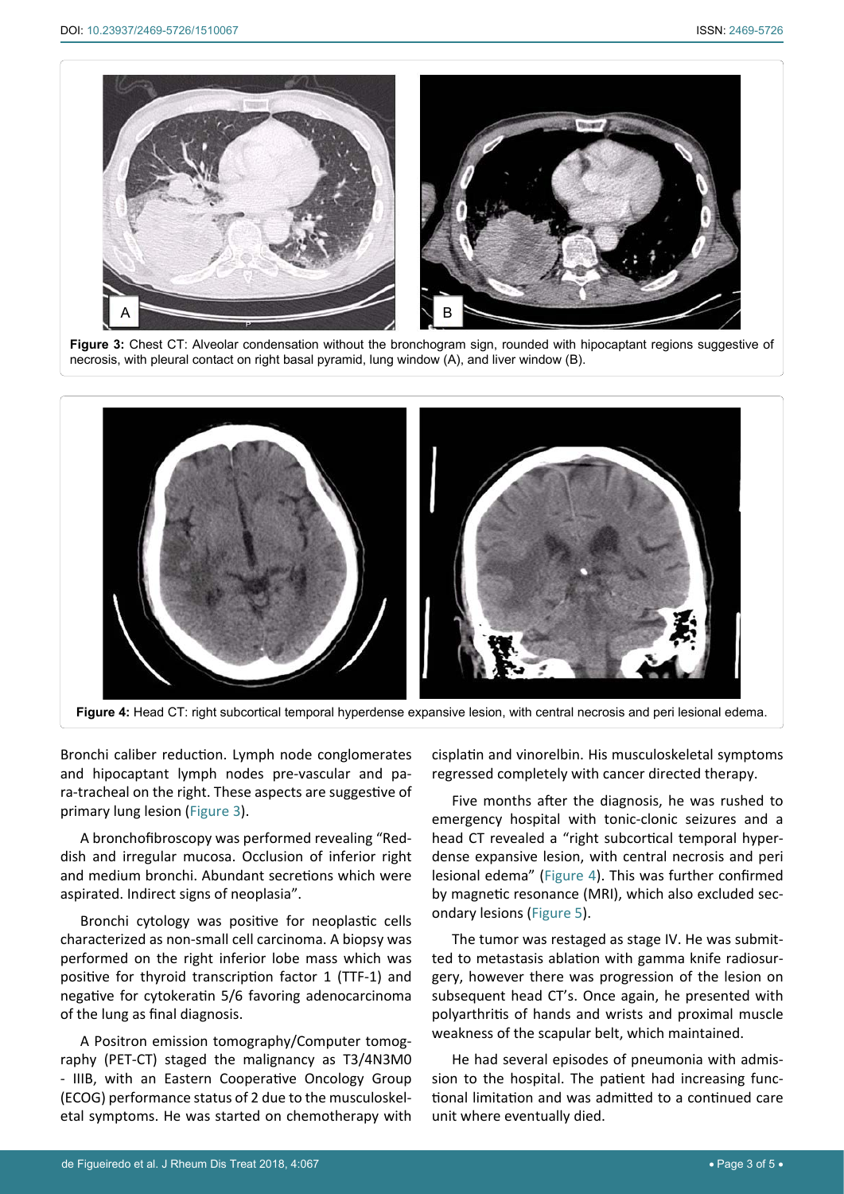<span id="page-2-1"></span>Ī



**Figure 3:** Chest CT: Alveolar condensation without the bronchogram sign, rounded with hipocaptant regions suggestive of necrosis, with pleural contact on right basal pyramid, lung window (A), and liver window (B).

<span id="page-2-0"></span>

Bronchi caliber reduction. Lymph node conglomerates and hipocaptant lymph nodes pre-vascular and para-tracheal on the right. These aspects are suggestive of primary lung lesion ([Figure 3](#page-2-1)).

A bronchofibroscopy was performed revealing "Reddish and irregular mucosa. Occlusion of inferior right and medium bronchi. Abundant secretions which were aspirated. Indirect signs of neoplasia".

Bronchi cytology was positive for neoplastic cells characterized as non-small cell carcinoma. A biopsy was performed on the right inferior lobe mass which was positive for thyroid transcription factor 1 (TTF-1) and negative for cytokeratin 5/6 favoring adenocarcinoma of the lung as final diagnosis.

A Positron emission tomography/Computer tomography (PET-CT) staged the malignancy as T3/4N3M0 - IIIB, with an Eastern Cooperative Oncology Group (ECOG) performance status of 2 due to the musculoskeletal symptoms. He was started on chemotherapy with cisplatin and vinorelbin. His musculoskeletal symptoms regressed completely with cancer directed therapy.

Five months after the diagnosis, he was rushed to emergency hospital with tonic-clonic seizures and a head CT revealed a "right subcortical temporal hyperdense expansive lesion, with central necrosis and peri lesional edema" ([Figure 4\)](#page-2-0). This was further confirmed by magnetic resonance (MRI), which also excluded secondary lesions ([Figure 5](#page-3-0)).

The tumor was restaged as stage IV. He was submitted to metastasis ablation with gamma knife radiosurgery, however there was progression of the lesion on subsequent head CT's. Once again, he presented with polyarthritis of hands and wrists and proximal muscle weakness of the scapular belt, which maintained.

He had several episodes of pneumonia with admission to the hospital. The patient had increasing functional limitation and was admitted to a continued care unit where eventually died.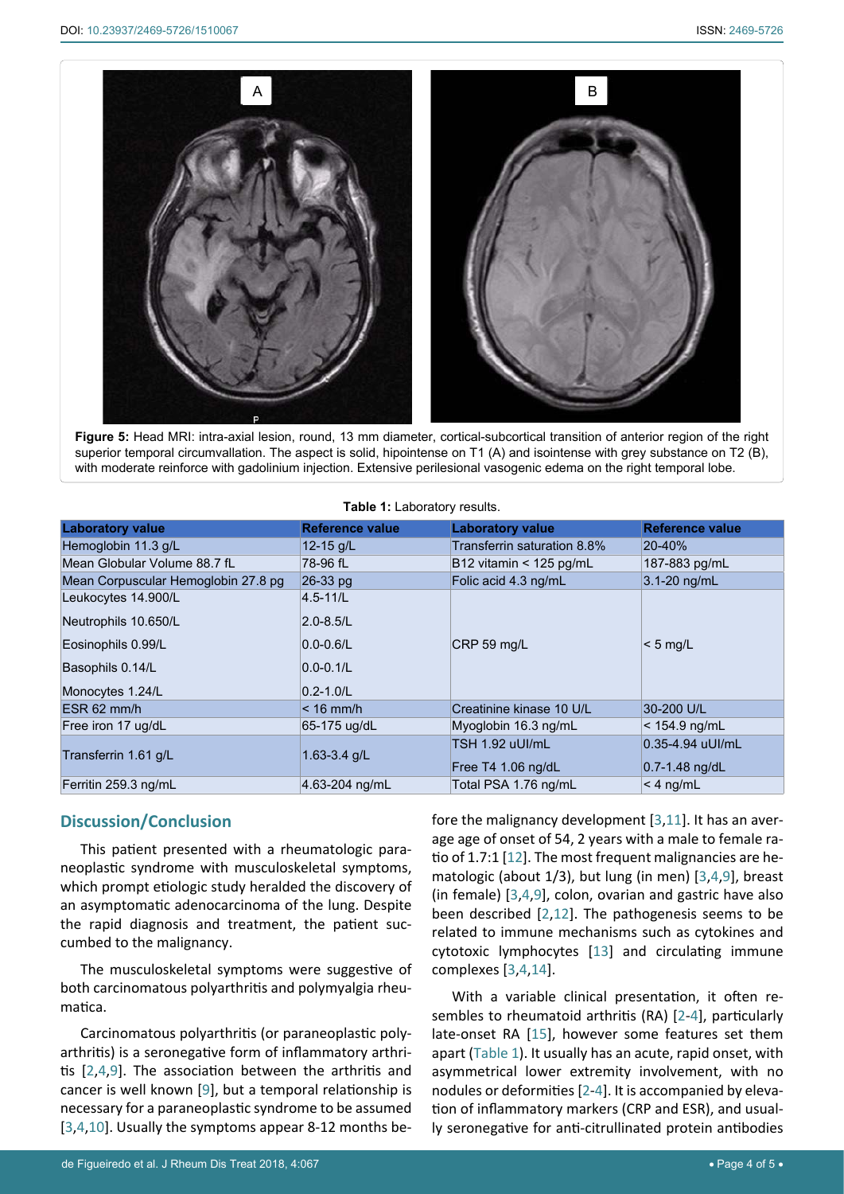<span id="page-3-0"></span>Ī



**Figure 5:** Head MRI: intra-axial lesion, round, 13 mm diameter, cortical-subcortical transition of anterior region of the right superior temporal circumvallation. The aspect is solid, hipointense on T1 (A) and isointense with grey substance on T2 (B), with moderate reinforce with gadolinium injection. Extensive perilesional vasogenic edema on the right temporal lobe.

| <b>Table 1: Laboratory results.</b> |                        |                             |                        |
|-------------------------------------|------------------------|-----------------------------|------------------------|
| <b>Laboratory value</b>             | <b>Reference value</b> | <b>Laboratory value</b>     | <b>Reference value</b> |
| Hemoglobin 11.3 g/L                 | 12-15 g/L              | Transferrin saturation 8.8% | 20-40%                 |
| Mean Globular Volume 88.7 fL        | 78-96 fL               | B12 vitamin $<$ 125 pg/mL   | 187-883 pg/mL          |
| Mean Corpuscular Hemoglobin 27.8 pg | 26-33 pg               | Folic acid 4.3 ng/mL        | 3.1-20 ng/mL           |
| Leukocytes 14.900/L                 | $4.5 - 11/L$           |                             |                        |
| Neutrophils 10.650/L                | $2.0 - 8.5 / L$        |                             |                        |
| Eosinophils 0.99/L                  | $0.0 - 0.6$ /L         | CRP 59 mg/L                 | $< 5$ mg/L             |
| Basophils 0.14/L                    | $0.0 - 0.1$ /L         |                             |                        |
| Monocytes 1.24/L                    | $0.2 - 1.0/L$          |                             |                        |
| ESR 62 mm/h                         | $< 16$ mm/h            | Creatinine kinase 10 U/L    | 30-200 U/L             |
| Free iron 17 ug/dL                  | 65-175 ug/dL           | Myoglobin 16.3 ng/mL        | $<$ 154.9 ng/mL        |
| Transferrin 1.61 g/L                | 1.63-3.4 $g/L$         | <b>TSH 1.92 uUI/mL</b>      | 0.35-4.94 uUI/mL       |
|                                     |                        | Free T4 1.06 ng/dL          | $0.7 - 1.48$ ng/dL     |
| Ferritin 259.3 ng/mL                | 4.63-204 ng/mL         | Total PSA 1.76 ng/mL        | $<$ 4 ng/mL            |

## <span id="page-3-1"></span>**Table 1:** Laboratory results.

### **Discussion/Conclusion**

This patient presented with a rheumatologic paraneoplastic syndrome with musculoskeletal symptoms, which prompt etiologic study heralded the discovery of an asymptomatic adenocarcinoma of the lung. Despite the rapid diagnosis and treatment, the patient succumbed to the malignancy.

The musculoskeletal symptoms were suggestive of both carcinomatous polyarthritis and polymyalgia rheumatica.

Carcinomatous polyarthritis (or paraneoplastic polyarthritis) is a seronegative form of inflammatory arthritis [[2,](#page-4-0)[4](#page-4-4),[9](#page-4-10)]. The association between the arthritis and cancer is well known [[9](#page-4-10)], but a temporal relationship is necessary for a paraneoplastic syndrome to be assumed [[3](#page-4-3),[4](#page-4-4),[10](#page-4-14)]. Usually the symptoms appear 8-12 months before the malignancy development [[3](#page-4-3),[11](#page-4-8)]. It has an average age of onset of 54, 2 years with a male to female ratio of 1.7:1 [[12](#page-4-9)]. The most frequent malignancies are hematologic (about 1/3), but lung (in men) [\[3](#page-4-3),[4](#page-4-4),[9](#page-4-10)], breast (in female) [[3](#page-4-3),[4](#page-4-4),[9](#page-4-10)], colon, ovarian and gastric have also been described [\[2](#page-4-0)[,12](#page-4-9)]. The pathogenesis seems to be related to immune mechanisms such as cytokines and cytotoxic lymphocytes [\[13\]](#page-4-11) and circulating immune complexes [\[3](#page-4-3),[4](#page-4-4),[14](#page-4-12)].

With a variable clinical presentation, it often resembles to rheumatoid arthritis (RA) [[2-](#page-4-0)[4\]](#page-4-4), particularly late-onset RA [[15](#page-4-13)], however some features set them apart ([Table 1](#page-3-1)). It usually has an acute, rapid onset, with asymmetrical lower extremity involvement, with no nodules or deformities [[2](#page-4-0)-[4](#page-4-4)]. It is accompanied by elevation of inflammatory markers (CRP and ESR), and usually seronegative for anti-citrullinated protein antibodies